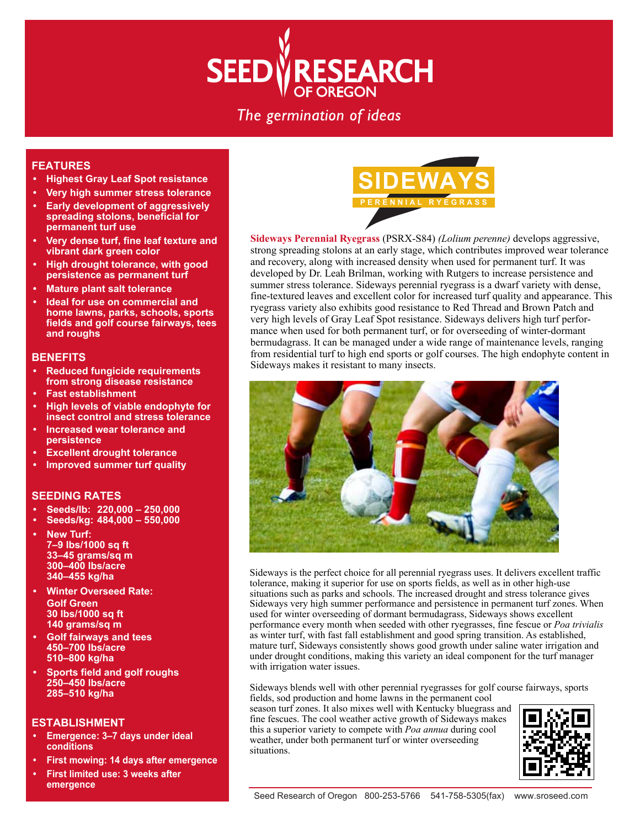# ESEARCH **SEED**

# The germination of ideas

# **FEATURES**

- **Highest Gray Leaf Spot resistance**
- **Very high summer stress tolerance • Early development of aggressively spreading stolons, beneficial for**
- **permanent turf use • Very dense turf, fine leaf texture and**
- **vibrant dark green color**
- **High drought tolerance, with good persistence as permanent turf**
- **Mature plant salt tolerance**
- **Ideal for use on commercial and home lawns, parks, schools, sports fields and golf course fairways, tees and roughs**

## **BENEFITS**

- **Reduced fungicide requirements from strong disease resistance**
- **Fast establishment**
- **High levels of viable endophyte for insect control and stress tolerance**
- **Increased wear tolerance and persistence**
- **Excellent drought tolerance**
- **Improved summer turf quality**

# **SEEDING RATES**

- **Seeds/lb: 220,000 250,000**
- **Seeds/kg: 484,000 550,000**
- **New Turf: 7–9 lbs/1000 sq ft 33–45 grams/sq m 300–400 lbs/acre 340–455 kg/ha**
- **Winter Overseed Rate: Golf Green 30 lbs/1000 sq ft 140 grams/sq m**
- **Golf fairways and tees 450–700 lbs/acre 510–800 kg/ha**
- **Sports field and golf roughs 250–450 lbs/acre 285–510 kg/ha**

### **ESTABLISHMENT**

- **Emergence: 3–7 days under ideal conditions**
- **First mowing: 14 days after emergence**
- **First limited use: 3 weeks after emergence**



**Sideways Perennial Ryegrass** (PSRX-S84) *(Lolium perenne)* develops aggressive, strong spreading stolons at an early stage, which contributes improved wear tolerance and recovery, along with increased density when used for permanent turf. It was developed by Dr. Leah Brilman, working with Rutgers to increase persistence and summer stress tolerance. Sideways perennial ryegrass is a dwarf variety with dense, fine-textured leaves and excellent color for increased turf quality and appearance. This ryegrass variety also exhibits good resistance to Red Thread and Brown Patch and very high levels of Gray Leaf Spot resistance. Sideways delivers high turf performance when used for both permanent turf, or for overseeding of winter-dormant bermudagrass. It can be managed under a wide range of maintenance levels, ranging from residential turf to high end sports or golf courses. The high endophyte content in Sideways makes it resistant to many insects.



Sideways is the perfect choice for all perennial ryegrass uses. It delivers excellent traffic tolerance, making it superior for use on sports fields, as well as in other high-use situations such as parks and schools. The increased drought and stress tolerance gives Sideways very high summer performance and persistence in permanent turf zones. When used for winter overseeding of dormant bermudagrass, Sideways shows excellent performance every month when seeded with other ryegrasses, fine fescue or *Poa trivialis* as winter turf, with fast fall establishment and good spring transition. As established, mature turf, Sideways consistently shows good growth under saline water irrigation and under drought conditions, making this variety an ideal component for the turf manager with irrigation water issues.

Sideways blends well with other perennial ryegrasses for golf course fairways, sports fields, sod production and home lawns in the permanent cool

season turf zones. It also mixes well with Kentucky bluegrass and fine fescues. The cool weather active growth of Sideways makes this a superior variety to compete with *Poa annua* during cool weather, under both permanent turf or winter overseeding situations.